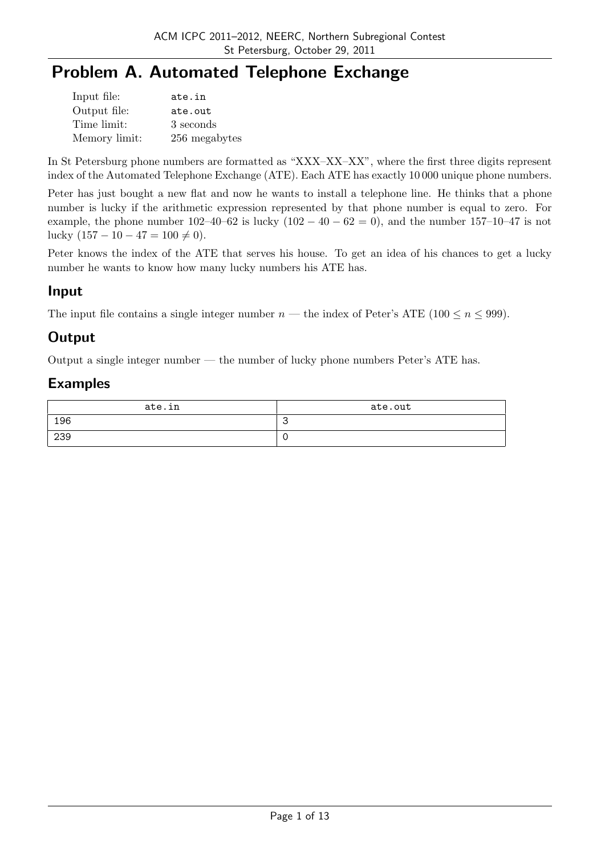# **Problem A. Automated Telephone Exchange**

| Input file:   | ate.in        |
|---------------|---------------|
| Output file:  | ate.out       |
| Time limit:   | 3 seconds     |
| Memory limit: | 256 megabytes |

In St Petersburg phone numbers are formatted as "XXX–XX–XX", where the first three digits represent index of the Automated Telephone Exchange (ATE). Each ATE has exactly 10 000 unique phone numbers.

Peter has just bought a new flat and now he wants to install a telephone line. He thinks that a phone number is lucky if the arithmetic expression represented by that phone number is equal to zero. For example, the phone number  $102-40-62$  is lucky  $(102-40-62=0)$ , and the number  $157-10-47$  is not lucky  $(157 – 10 – 47 = 100 ≠ 0)$ .

Peter knows the index of the ATE that serves his house. To get an idea of his chances to get a lucky number he wants to know how many lucky numbers his ATE has.

### **Input**

The input file contains a single integer number  $n$  — the index of Peter's ATE (100  $\leq n \leq 999$ ).

### **Output**

Output a single integer number — the number of lucky phone numbers Peter's ATE has.

| ate.in | ate.out |
|--------|---------|
| 196    | ت       |
| 239    |         |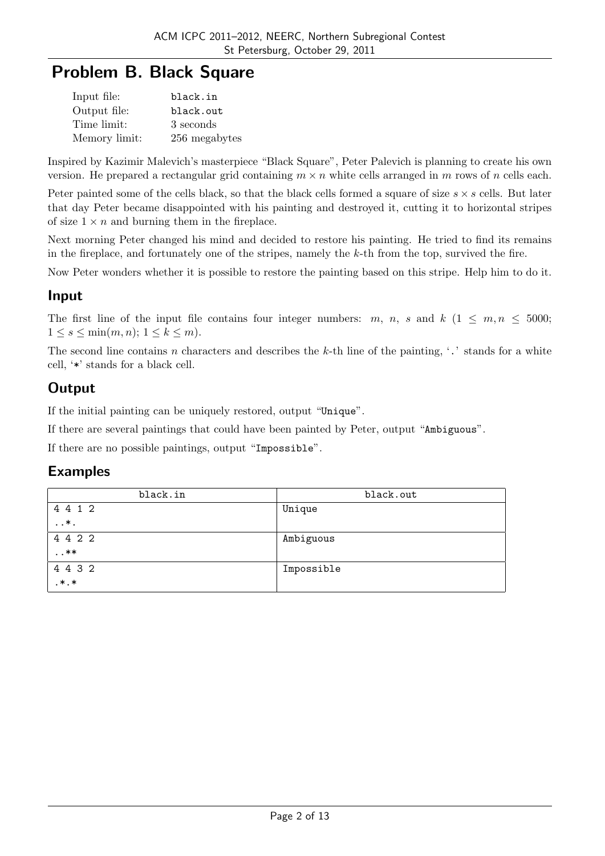# **Problem B. Black Square**

| Input file:   | black.in      |
|---------------|---------------|
| Output file:  | black.out     |
| Time limit:   | 3 seconds     |
| Memory limit: | 256 megabytes |

Inspired by Kazimir Malevich's masterpiece "Black Square", Peter Palevich is planning to create his own version. He prepared a rectangular grid containing  $m \times n$  white cells arranged in  $m$  rows of  $n$  cells each.

Peter painted some of the cells black, so that the black cells formed a square of size *s × s* cells. But later that day Peter became disappointed with his painting and destroyed it, cutting it to horizontal stripes of size  $1 \times n$  and burning them in the fireplace.

Next morning Peter changed his mind and decided to restore his painting. He tried to find its remains in the fireplace, and fortunately one of the stripes, namely the *k*-th from the top, survived the fire.

Now Peter wonders whether it is possible to restore the painting based on this stripe. Help him to do it.

#### **Input**

The first line of the input file contains four integer numbers:  $m, n, s$  and  $k$  ( $1 \leq m, n \leq 5000$ ; 1 ≤ *s* ≤ min $(m, n)$ ; 1 ≤ *k* ≤ *m*).

The second line contains *n* characters and describes the *k*-th line of the painting, '.' stands for a white cell, '\*' stands for a black cell.

## **Output**

If the initial painting can be uniquely restored, output "Unique".

If there are several paintings that could have been painted by Peter, output "Ambiguous".

If there are no possible paintings, output "Impossible".

| black.in     | black.out  |
|--------------|------------|
| 4 4 1 2      | Unique     |
| $\ldots *$ . |            |
| 4 4 2 2      | Ambiguous  |
| $\dots$ **   |            |
| 4 4 3 2      | Impossible |
| $, *$ . *    |            |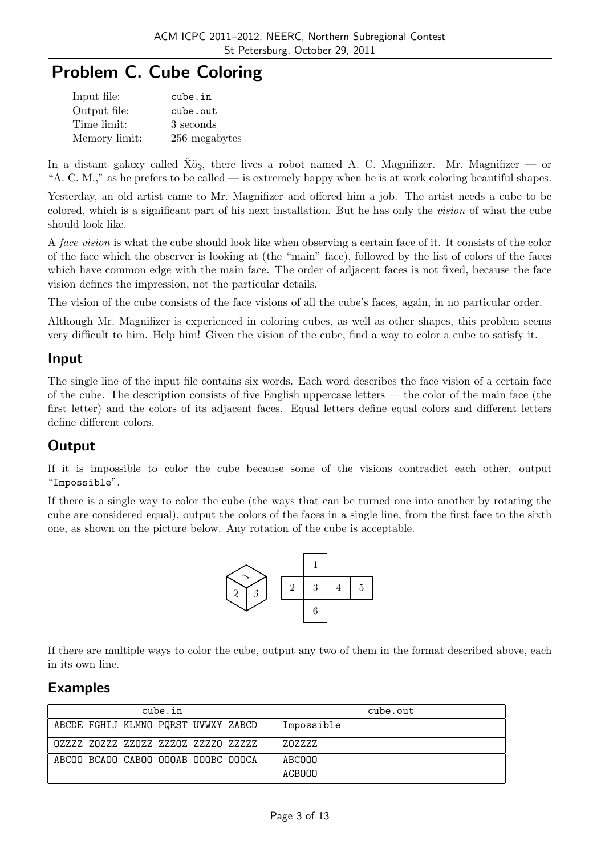# **Problem C. Cube Coloring**

| Input file:   | cube.in       |
|---------------|---------------|
| Output file:  | cube.out      |
| Time limit:   | 3 seconds     |
| Memory limit: | 256 megabytes |

In a distant galaxy called Xös, there lives a robot named A. C. Magnifizer. Mr. Magnifizer — or "A. C. M.," as he prefers to be called — is extremely happy when he is at work coloring beautiful shapes.

Yesterday, an old artist came to Mr. Magnifizer and offered him a job. The artist needs a cube to be colored, which is a significant part of his next installation. But he has only the *vision* of what the cube should look like.

A *face vision* is what the cube should look like when observing a certain face of it. It consists of the color of the face which the observer is looking at (the "main" face), followed by the list of colors of the faces which have common edge with the main face. The order of adjacent faces is not fixed, because the face vision defines the impression, not the particular details.

The vision of the cube consists of the face visions of all the cube's faces, again, in no particular order.

Although Mr. Magnifizer is experienced in coloring cubes, as well as other shapes, this problem seems very difficult to him. Help him! Given the vision of the cube, find a way to color a cube to satisfy it.

#### **Input**

The single line of the input file contains six words. Each word describes the face vision of a certain face of the cube. The description consists of five English uppercase letters — the color of the main face (the first letter) and the colors of its adjacent faces. Equal letters define equal colors and different letters define different colors.

### **Output**

If it is impossible to color the cube because some of the visions contradict each other, output "Impossible".

If there is a single way to color the cube (the ways that can be turned one into another by rotating the cube are considered equal), output the colors of the faces in a single line, from the first face to the sixth one, as shown on the picture below. Any rotation of the cube is acceptable.



If there are multiple ways to color the cube, output any two of them in the format described above, each in its own line.

| cube.in                             | cube.out   |
|-------------------------------------|------------|
| ABCDE FGHIJ KLMNO PQRST UVWXY ZABCD | Impossible |
|                                     | ZOZZZZ     |
| ABCOO BCAOO CABOO OOOAB OOOBC OOOCA | ABCOOO     |
|                                     | ACBOOO     |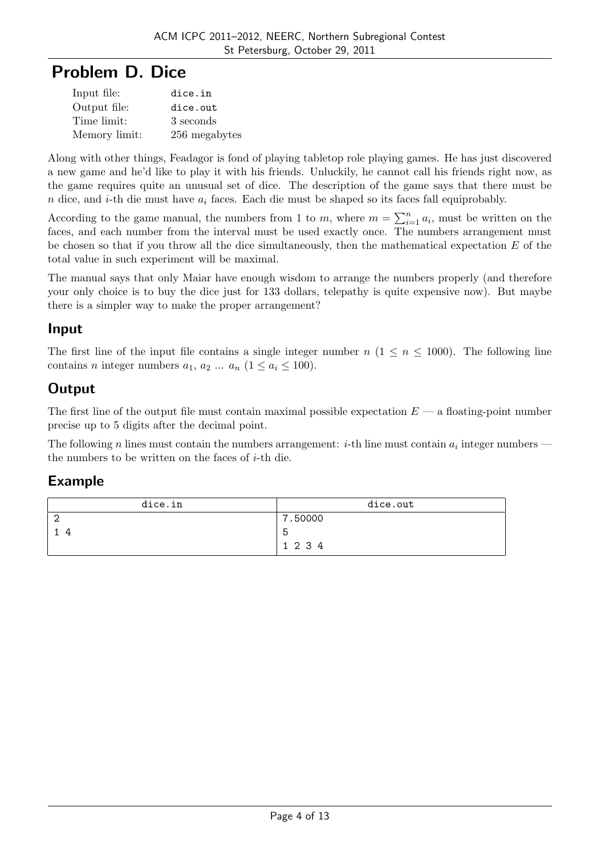# **Problem D. Dice**

| Input file:   | dice.in       |
|---------------|---------------|
| Output file:  | dice.out      |
| Time limit:   | 3 seconds     |
| Memory limit: | 256 megabytes |

Along with other things, Feadagor is fond of playing tabletop role playing games. He has just discovered a new game and he'd like to play it with his friends. Unluckily, he cannot call his friends right now, as the game requires quite an unusual set of dice. The description of the game says that there must be *n* dice, and *i*-th die must have *a<sup>i</sup>* faces. Each die must be shaped so its faces fall equiprobably.

According to the game manual, the numbers from 1 to *m*, where  $m = \sum_{i=1}^{n} a_i$ , must be written on the faces, and each number from the interval must be used exactly once. The numbers arrangement must be chosen so that if you throw all the dice simultaneously, then the mathematical expectation *E* of the total value in such experiment will be maximal.

The manual says that only Maiar have enough wisdom to arrange the numbers properly (and therefore your only choice is to buy the dice just for 133 dollars, telepathy is quite expensive now). But maybe there is a simpler way to make the proper arrangement?

### **Input**

The first line of the input file contains a single integer number  $n (1 \leq n \leq 1000)$ . The following line contains *n* integer numbers  $a_1, a_2, \ldots, a_n$  ( $1 \leq a_i \leq 100$ ).

## **Output**

The first line of the output file must contain maximal possible expectation *E* — a floating-point number precise up to 5 digits after the decimal point.

The following *n* lines must contain the numbers arrangement: *i*-th line must contain  $a_i$  integer numbers the numbers to be written on the faces of *i*-th die.

| dice.in | dice.out |
|---------|----------|
|         | 7.50000  |
|         | b        |
|         | 1 2 3 4  |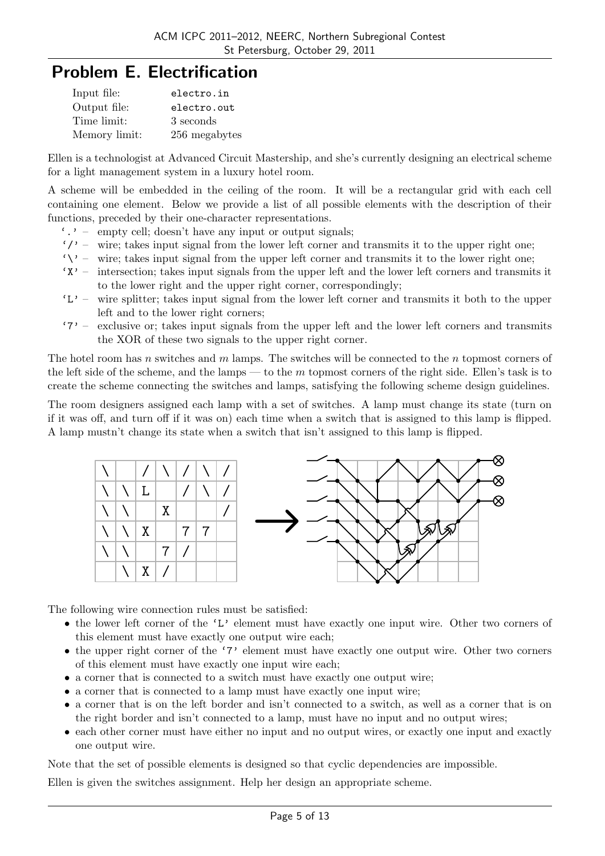# **Problem E. Electrification**

| Input file:   | electro.in    |
|---------------|---------------|
| Output file:  | electro.out   |
| Time limit:   | 3 seconds     |
| Memory limit: | 256 megabytes |

Ellen is a technologist at Advanced Circuit Mastership, and she's currently designing an electrical scheme for a light management system in a luxury hotel room.

A scheme will be embedded in the ceiling of the room. It will be a rectangular grid with each cell containing one element. Below we provide a list of all possible elements with the description of their functions, preceded by their one-character representations.

- $\cdot$ .  $\cdot$  empty cell; doesn't have any input or output signals;
- $'$ /' wire; takes input signal from the lower left corner and transmits it to the upper right one;
- $\forall \forall$  wire; takes input signal from the upper left corner and transmits it to the lower right one;
- 'X' intersection; takes input signals from the upper left and the lower left corners and transmits it to the lower right and the upper right corner, correspondingly;
- $'L'$  wire splitter; takes input signal from the lower left corner and transmits it both to the upper left and to the lower right corners;
- '7' exclusive or; takes input signals from the upper left and the lower left corners and transmits the XOR of these two signals to the upper right corner.

The hotel room has *n* switches and *m* lamps. The switches will be connected to the *n* topmost corners of the left side of the scheme, and the lamps — to the *m* topmost corners of the right side. Ellen's task is to create the scheme connecting the switches and lamps, satisfying the following scheme design guidelines.

The room designers assigned each lamp with a set of switches. A lamp must change its state (turn on if it was off, and turn off if it was on) each time when a switch that is assigned to this lamp is flipped. A lamp mustn't change its state when a switch that isn't assigned to this lamp is flipped.



The following wire connection rules must be satisfied:

- the lower left corner of the 'L' element must have exactly one input wire. Other two corners of this element must have exactly one output wire each;
- the upper right corner of the '7' element must have exactly one output wire. Other two corners of this element must have exactly one input wire each;
- a corner that is connected to a switch must have exactly one output wire;
- a corner that is connected to a lamp must have exactly one input wire;
- a corner that is on the left border and isn't connected to a switch, as well as a corner that is on the right border and isn't connected to a lamp, must have no input and no output wires;
- each other corner must have either no input and no output wires, or exactly one input and exactly one output wire.

Note that the set of possible elements is designed so that cyclic dependencies are impossible.

Ellen is given the switches assignment. Help her design an appropriate scheme.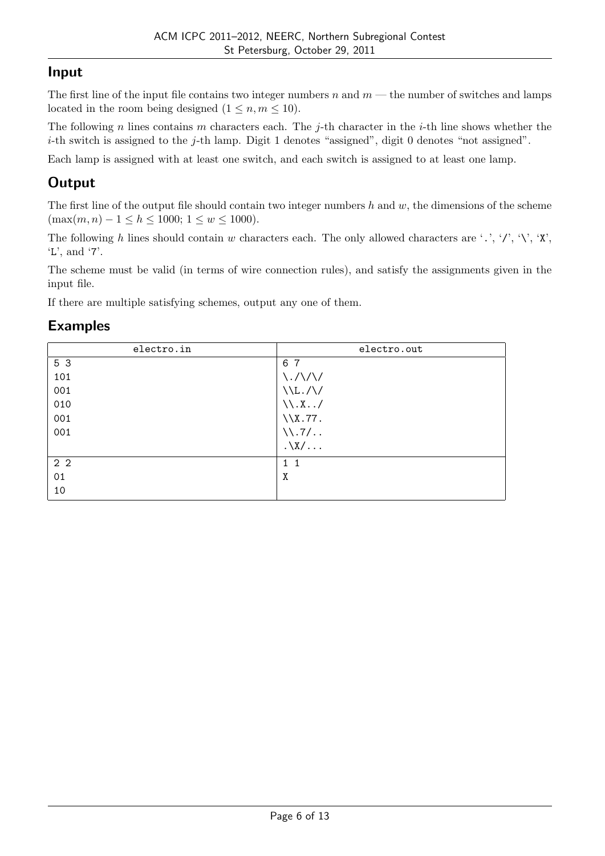### **Input**

The first line of the input file contains two integer numbers *n* and *m* — the number of switches and lamps located in the room being designed  $(1 \leq n, m \leq 10)$ .

The following *n* lines contains *m* characters each. The *j*-th character in the *i*-th line shows whether the *i*-th switch is assigned to the *j*-th lamp. Digit 1 denotes "assigned", digit 0 denotes "not assigned".

Each lamp is assigned with at least one switch, and each switch is assigned to at least one lamp.

## **Output**

The first line of the output file should contain two integer numbers *h* and *w*, the dimensions of the scheme  $(\max(m, n) - 1 \leq h \leq 1000; 1 \leq w \leq 1000).$ 

The following *h* lines should contain *w* characters each. The only allowed characters are '.', '/', '\', 'X', 'L', and '7'.

The scheme must be valid (in terms of wire connection rules), and satisfy the assignments given in the input file.

If there are multiple satisfying schemes, output any one of them.

| electro.in     | electro.out                     |
|----------------|---------------------------------|
| 5 3            | 6 7                             |
| 101            | $\langle ./\rangle / \rangle /$ |
| 001            | $\Upsilon_L/\Upsilon$           |
| 010            | $\setminus \setminus X$ /       |
| 001            | $\X.77$ .                       |
| 001            | $\backslash\backslash.7/$       |
|                | $.\lambda \}/\lambda$           |
| 2 <sub>2</sub> | $1\quad1$                       |
| 01             | Χ                               |
| 10             |                                 |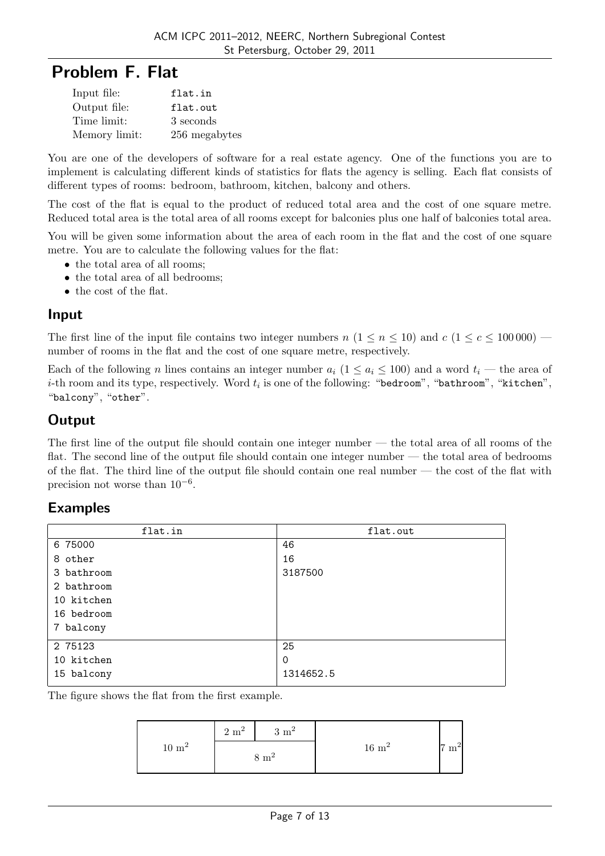# **Problem F. Flat**

| Input file:   | flat.in       |
|---------------|---------------|
| Output file:  | flat.out      |
| Time limit:   | 3 seconds     |
| Memory limit: | 256 megabytes |

You are one of the developers of software for a real estate agency. One of the functions you are to implement is calculating different kinds of statistics for flats the agency is selling. Each flat consists of different types of rooms: bedroom, bathroom, kitchen, balcony and others.

The cost of the flat is equal to the product of reduced total area and the cost of one square metre. Reduced total area is the total area of all rooms except for balconies plus one half of balconies total area.

You will be given some information about the area of each room in the flat and the cost of one square metre. You are to calculate the following values for the flat:

- the total area of all rooms;
- the total area of all bedrooms;
- the cost of the flat.

#### **Input**

The first line of the input file contains two integer numbers  $n(1 \leq n \leq 10)$  and  $c(1 \leq c \leq 100000)$  number of rooms in the flat and the cost of one square metre, respectively.

Each of the following *n* lines contains an integer number  $a_i$  ( $1 \le a_i \le 100$ ) and a word  $t_i$  — the area of  $i$ -th room and its type, respectively. Word  $t_i$  is one of the following: "bedroom", "bathroom", "kitchen", "balcony", "other".

### **Output**

The first line of the output file should contain one integer number — the total area of all rooms of the flat. The second line of the output file should contain one integer number — the total area of bedrooms of the flat. The third line of the output file should contain one real number — the cost of the flat with precision not worse than 10*−*<sup>6</sup> .

#### **Examples**

| flat.in    | flat.out  |
|------------|-----------|
| 6 75000    | 46        |
| 8 other    | 16        |
| 3 bathroom | 3187500   |
| 2 bathroom |           |
| 10 kitchen |           |
| 16 bedroom |           |
| 7 balcony  |           |
| 2 75123    | 25        |
| 10 kitchen | 0         |
| 15 balcony | 1314652.5 |

The figure shows the flat from the first example.

|                   | $2 \text{ m}^2$ | $3 \text{ m}^2$ |                   |            |
|-------------------|-----------------|-----------------|-------------------|------------|
| $10~\mathrm{m}^2$ |                 | $8 \text{ m}^2$ | $16~\mathrm{m}^2$ | ∽<br>$m^2$ |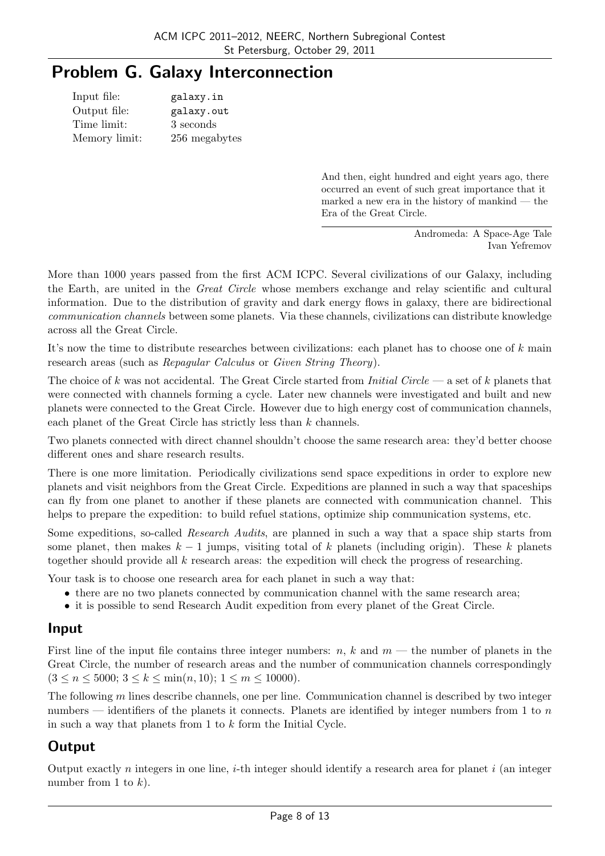# **Problem G. Galaxy Interconnection**

| Input file:   | galaxy.in     |
|---------------|---------------|
| Output file:  | galaxy.out    |
| Time limit:   | 3 seconds     |
| Memory limit: | 256 megabytes |

And then, eight hundred and eight years ago, there occurred an event of such great importance that it marked a new era in the history of mankind — the Era of the Great Circle.

> Andromeda: A Space-Age Tale Ivan Yefremov

More than 1000 years passed from the first ACM ICPC. Several civilizations of our Galaxy, including the Earth, are united in the *Great Circle* whose members exchange and relay scientific and cultural information. Due to the distribution of gravity and dark energy flows in galaxy, there are bidirectional *communication channels* between some planets. Via these channels, civilizations can distribute knowledge across all the Great Circle.

It's now the time to distribute researches between civilizations: each planet has to choose one of *k* main research areas (such as *Repagular Calculus* or *Given String Theory*).

The choice of *k* was not accidental. The Great Circle started from *Initial Circle* — a set of *k* planets that were connected with channels forming a cycle. Later new channels were investigated and built and new planets were connected to the Great Circle. However due to high energy cost of communication channels, each planet of the Great Circle has strictly less than *k* channels.

Two planets connected with direct channel shouldn't choose the same research area: they'd better choose different ones and share research results.

There is one more limitation. Periodically civilizations send space expeditions in order to explore new planets and visit neighbors from the Great Circle. Expeditions are planned in such a way that spaceships can fly from one planet to another if these planets are connected with communication channel. This helps to prepare the expedition: to build refuel stations, optimize ship communication systems, etc.

Some expeditions, so-called *Research Audits*, are planned in such a way that a space ship starts from some planet, then makes *k −* 1 jumps, visiting total of *k* planets (including origin). These *k* planets together should provide all *k* research areas: the expedition will check the progress of researching.

Your task is to choose one research area for each planet in such a way that:

- there are no two planets connected by communication channel with the same research area;
- it is possible to send Research Audit expedition from every planet of the Great Circle.

#### **Input**

First line of the input file contains three integer numbers:  $n, k$  and  $m$  — the number of planets in the Great Circle, the number of research areas and the number of communication channels correspondingly  $(3 \leq n \leq 5000; 3 \leq k \leq \min(n, 10); 1 \leq m \leq 10000).$ 

The following *m* lines describe channels, one per line. Communication channel is described by two integer numbers — identifiers of the planets it connects. Planets are identified by integer numbers from 1 to *n* in such a way that planets from 1 to *k* form the Initial Cycle.

## **Output**

Output exactly *n* integers in one line, *i*-th integer should identify a research area for planet *i* (an integer number from 1 to *k*).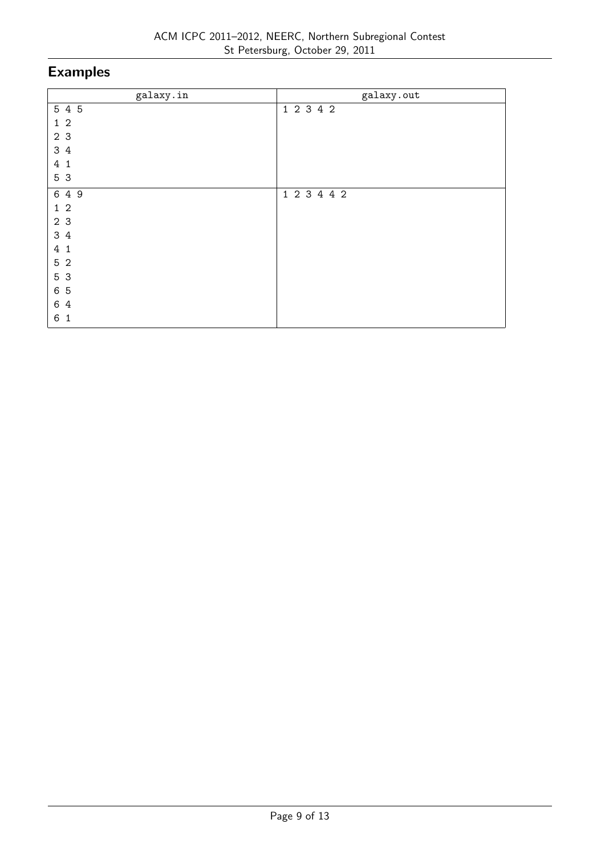| galaxy.in                      | galaxy.out  |
|--------------------------------|-------------|
| 5 4 5                          | 1 2 3 4 2   |
| 1 <sub>2</sub>                 |             |
| 2 3                            |             |
| 3 4                            |             |
| $\overline{4}$<br>$\mathbf{1}$ |             |
| 5 3                            |             |
| 6 4 9                          | 1 2 3 4 4 2 |
| $1\,2$                         |             |
| 2 3                            |             |
| 3 4                            |             |
| $\overline{4}$<br>$\mathbf{1}$ |             |
| 5 2                            |             |
| 5 3                            |             |
| 6 5                            |             |
| 6 4                            |             |
| 6<br>$\mathbf{1}$              |             |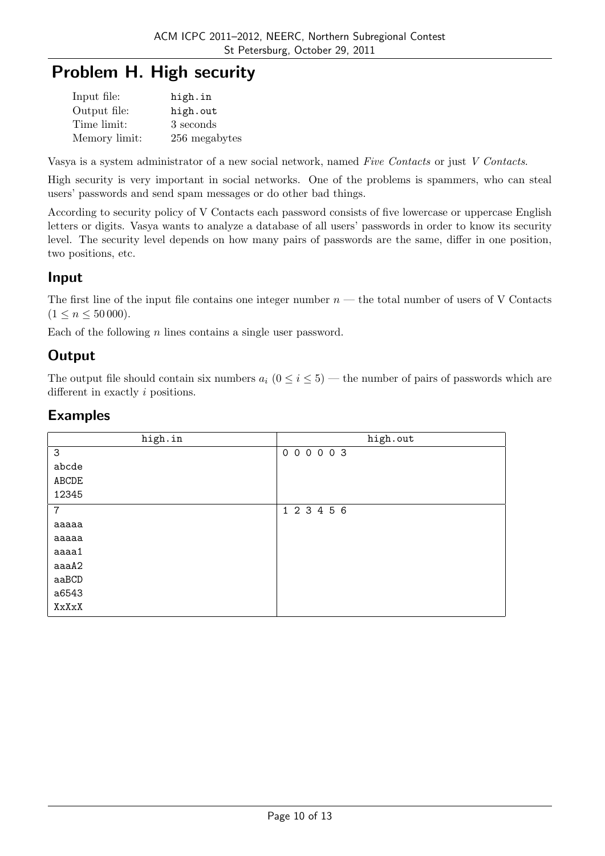# **Problem H. High security**

| Input file:   | high.in       |
|---------------|---------------|
| Output file:  | high.out      |
| Time limit:   | 3 seconds     |
| Memory limit: | 256 megabytes |

Vasya is a system administrator of a new social network, named *Five Contacts* or just *V Contacts*.

High security is very important in social networks. One of the problems is spammers, who can steal users' passwords and send spam messages or do other bad things.

According to security policy of V Contacts each password consists of five lowercase or uppercase English letters or digits. Vasya wants to analyze a database of all users' passwords in order to know its security level. The security level depends on how many pairs of passwords are the same, differ in one position, two positions, etc.

### **Input**

The first line of the input file contains one integer number *n* — the total number of users of V Contacts  $(1 \leq n \leq 50000)$ .

Each of the following *n* lines contains a single user password.

### **Output**

The output file should contain six numbers  $a_i$  ( $0 \le i \le 5$ ) — the number of pairs of passwords which are different in exactly *i* positions.

| high.in        | high.out    |
|----------------|-------------|
| 3              | 000003      |
| abcde          |             |
| ABCDE          |             |
| 12345          |             |
| $\overline{7}$ | 1 2 3 4 5 6 |
| aaaaa          |             |
| aaaaa          |             |
| aaaa1          |             |
| aaaA2          |             |
| aaBCD          |             |
| a6543          |             |
| XxXxX          |             |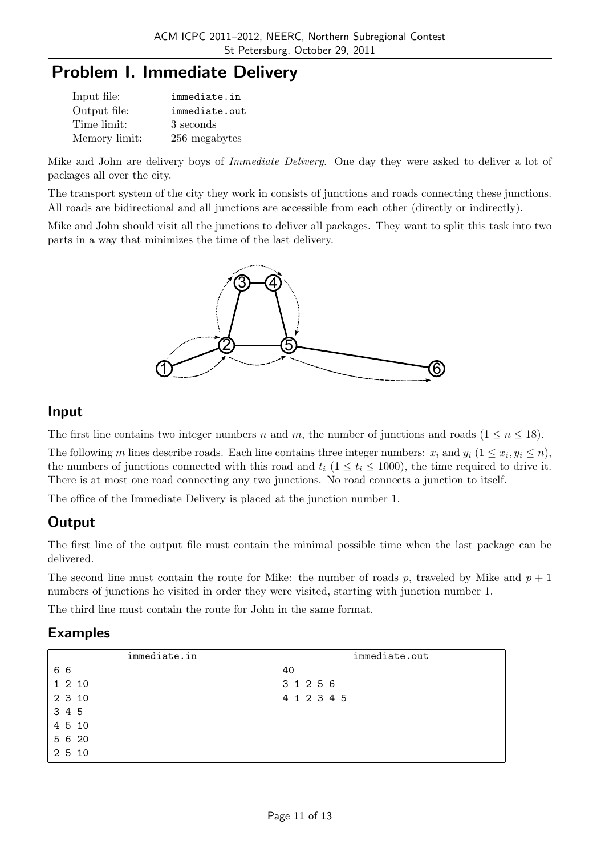## **Problem I. Immediate Delivery**

| Input file:   | immediate.in  |
|---------------|---------------|
| Output file:  | immediate.out |
| Time limit:   | 3 seconds     |
| Memory limit: | 256 megabytes |

Mike and John are delivery boys of *Immediate Delivery*. One day they were asked to deliver a lot of packages all over the city.

The transport system of the city they work in consists of junctions and roads connecting these junctions. All roads are bidirectional and all junctions are accessible from each other (directly or indirectly).

Mike and John should visit all the junctions to deliver all packages. They want to split this task into two parts in a way that minimizes the time of the last delivery.



#### **Input**

The first line contains two integer numbers *n* and *m*, the number of junctions and roads  $(1 \leq n \leq 18)$ .

The following *m* lines describe roads. Each line contains three integer numbers:  $x_i$  and  $y_i$  ( $1 \le x_i, y_i \le n$ ), the numbers of junctions connected with this road and  $t_i$  ( $1 \le t_i \le 1000$ ), the time required to drive it. There is at most one road connecting any two junctions. No road connects a junction to itself.

The office of the Immediate Delivery is placed at the junction number 1.

## **Output**

The first line of the output file must contain the minimal possible time when the last package can be delivered.

The second line must contain the route for Mike: the number of roads p, traveled by Mike and  $p + 1$ numbers of junctions he visited in order they were visited, starting with junction number 1.

The third line must contain the route for John in the same format.

| immediate.in | immediate.out |
|--------------|---------------|
| 66           | 40            |
| 1 2 10       | 3 1 2 5 6     |
| 2 3 10       | 4 1 2 3 4 5   |
| 3 4 5        |               |
| 4 5 10       |               |
| 5 6 20       |               |
| 2 5 10       |               |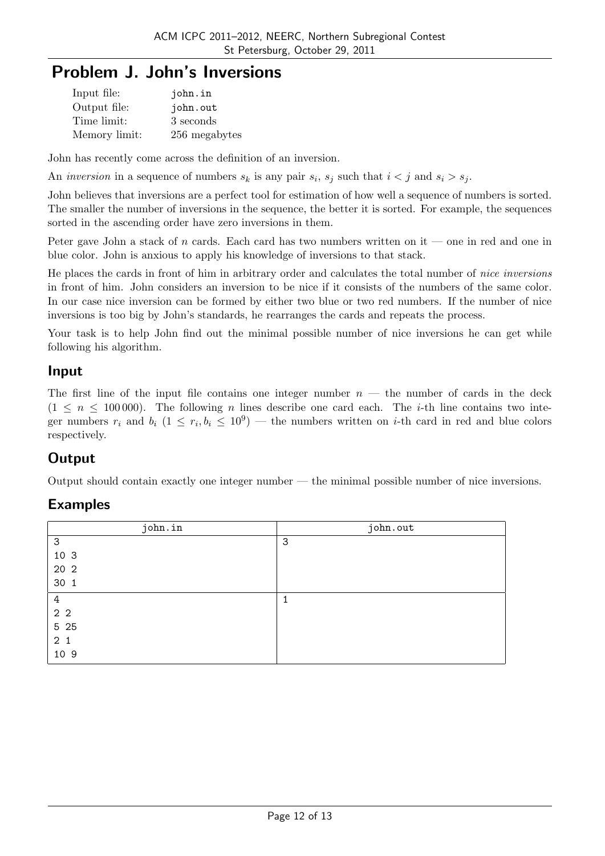# **Problem J. John's Inversions**

| Input file:   | john.in       |
|---------------|---------------|
| Output file:  | john.out      |
| Time limit:   | 3 seconds     |
| Memory limit: | 256 megabytes |

John has recently come across the definition of an inversion.

An *inversion* in a sequence of numbers  $s_k$  is any pair  $s_i$ ,  $s_j$  such that  $i < j$  and  $s_i > s_j$ .

John believes that inversions are a perfect tool for estimation of how well a sequence of numbers is sorted. The smaller the number of inversions in the sequence, the better it is sorted. For example, the sequences sorted in the ascending order have zero inversions in them.

Peter gave John a stack of *n* cards. Each card has two numbers written on it — one in red and one in blue color. John is anxious to apply his knowledge of inversions to that stack.

He places the cards in front of him in arbitrary order and calculates the total number of *nice inversions* in front of him. John considers an inversion to be nice if it consists of the numbers of the same color. In our case nice inversion can be formed by either two blue or two red numbers. If the number of nice inversions is too big by John's standards, he rearranges the cards and repeats the process.

Your task is to help John find out the minimal possible number of nice inversions he can get while following his algorithm.

#### **Input**

The first line of the input file contains one integer number  $n$  — the number of cards in the deck  $(1 \leq n \leq 100000)$ . The following *n* lines describe one card each. The *i*-th line contains two integer numbers  $r_i$  and  $b_i$  ( $1 \leq r_i, b_i \leq 10^9$ ) — the numbers written on *i*-th card in red and blue colors respectively.

## **Output**

Output should contain exactly one integer number — the minimal possible number of nice inversions.

| john.in        | john.out |
|----------------|----------|
| 3              | 3        |
| 10 3           |          |
| 20 2           |          |
| 30 1           |          |
| 4              |          |
| 2 <sub>2</sub> |          |
| 5 25           |          |
| 2 <sub>1</sub> |          |
| 10 9           |          |